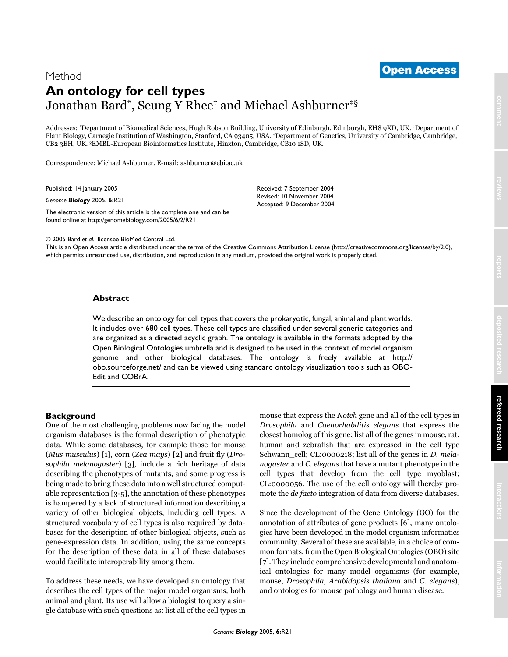# <sup>2005</sup> Bard et al. Volume 6, Issue 2, Article R21 **[Open Access](http://www.biomedcentral.com/info/about/charter/)** Method **An ontology for cell types** Jonathan Bard\*, Seung Y Rhee† and Michael Ashburner‡§

Addresses: \*Department of Biomedical Sciences, Hugh Robson Building, University of Edinburgh, Edinburgh, EH8 9XD, UK. †Department of Plant Biology, Carnegie Institution of Washington, Stanford, CA 93405, USA. ‡Department of Genetics, University of Cambridge, Cambridge, CB2 3EH, UK. §EMBL-European Bioinformatics Institute, Hinxton, Cambridge, CB10 1SD, UK.

> Received: 7 September 2004 Revised: 10 November 2004 Accepted: 9 December 2004

Correspondence: Michael Ashburner. E-mail: ashburner@ebi.ac.uk

Published: 14 January 2005

*Genome Biology* 2005, **6:**R21

[The electronic version of this article is the complete one and can be](http://genomebiology.com/2005/6/2/R21)  found online at http://genomebiology.com/2005/6/2/R21

© 2005 Bard *et al*.; licensee BioMed Central Ltd.

[This is an Open Access article distributed under the terms of the Creative Commons Attribution License \(http://creativecommons.org/licenses/by/2.0\),](http://creativecommons.org/licenses/by/2.0)  which permits unrestricted use, distribution, and reproduction in any medium, provided the original work is properly cited.

#### **Abstract**

We describe an ontology for cell types that covers the prokaryotic, fungal, animal and plant worlds. It includes over 680 cell types. These cell types are classified under several generic categories and [are organized as a directed acyclic graph. The ontology is available in the formats adopted by the](http://obo.sourceforge.net/) Open Biological Ontologies umbrella and is designed to be used in the context of model organism genome and other biological databases. The ontology is freely available at http:// obo.sourceforge.net/ and can be viewed using standard ontology visualization tools such as OBO-Edit and COBrA.

### **Background**

One of the most challenging problems now facing the model organism databases is the formal description of phenotypic data. While some databases, for example those for mouse (*Mus musculus*) [1], corn (*Zea mays*) [2] and fruit fly (*Drosophila melanogaster*) [3], include a rich heritage of data describing the phenotypes of mutants, and some progress is being made to bring these data into a well structured computable representation [3-5], the annotation of these phenotypes is hampered by a lack of structured information describing a variety of other biological objects, including cell types. A structured vocabulary of cell types is also required by databases for the description of other biological objects, such as gene-expression data. In addition, using the same concepts for the description of these data in all of these databases would facilitate interoperability among them.

To address these needs, we have developed an ontology that describes the cell types of the major model organisms, both animal and plant. Its use will allow a biologist to query a single database with such questions as: list all of the cell types in mouse that express the *Notch* gene and all of the cell types in *Drosophila* and *Caenorhabditis elegans* that express the closest homolog of this gene; list all of the genes in mouse, rat, human and zebrafish that are expressed in the cell type Schwann\_cell; CL:0000218; list all of the genes in *D. melanogaster* and *C. elegans* that have a mutant phenotype in the cell types that develop from the cell type myoblast; CL:0000056. The use of the cell ontology will thereby promote the *de facto* integration of data from diverse databases.

Since the development of the Gene Ontology (GO) for the annotation of attributes of gene products [6], many ontologies have been developed in the model organism informatics community. Several of these are available, in a choice of common formats, from the Open Biological Ontologies (OBO) site [7]. They include comprehensive developmental and anatomical ontologies for many model organisms (for example, mouse, *Drosophila*, *Arabidopsis thaliana* and *C. elegans*), and ontologies for mouse pathology and human disease.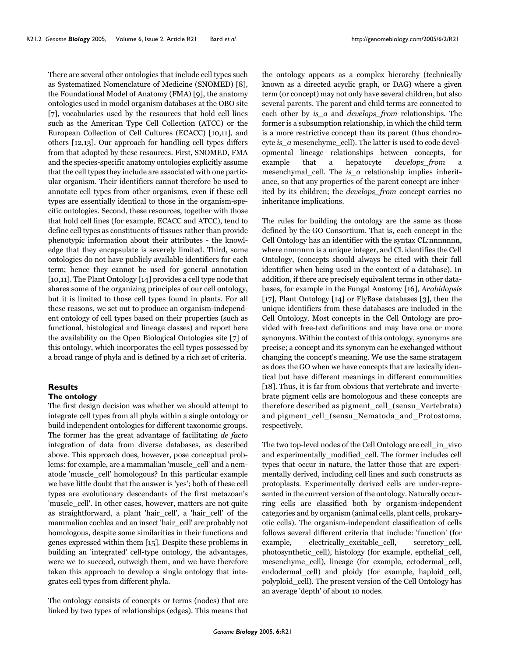There are several other ontologies that include cell types such as Systematized Nomenclature of Medicine (SNOMED) [8], the Foundational Model of Anatomy (FMA) [9], the anatomy ontologies used in model organism databases at the OBO site [7], vocabularies used by the resources that hold cell lines such as the American Type Cell Collection (ATCC) or the European Collection of Cell Cultures (ECACC) [10,11], and others [12,13]. Our approach for handling cell types differs from that adopted by these resources. First, SNOMED, FMA and the species-specific anatomy ontologies explicitly assume that the cell types they include are associated with one particular organism. Their identifiers cannot therefore be used to annotate cell types from other organisms, even if these cell types are essentially identical to those in the organism-specific ontologies. Second, these resources, together with those that hold cell lines (for example, ECACC and ATCC), tend to define cell types as constituents of tissues rather than provide phenotypic information about their attributes - the knowledge that they encapsulate is severely limited. Third, some ontologies do not have publicly available identifiers for each term; hence they cannot be used for general annotation [10,11]. The Plant Ontology [14] provides a cell type node that shares some of the organizing principles of our cell ontology, but it is limited to those cell types found in plants. For all these reasons, we set out to produce an organism-independent ontology of cell types based on their properties (such as functional, histological and lineage classes) and report here the availability on the Open Biological Ontologies site [7] of this ontology, which incorporates the cell types possessed by a broad range of phyla and is defined by a rich set of criteria.

# **Results**

## **The ontology**

The first design decision was whether we should attempt to integrate cell types from all phyla within a single ontology or build independent ontologies for different taxonomic groups. The former has the great advantage of facilitating *de facto* integration of data from diverse databases, as described above. This approach does, however, pose conceptual problems: for example, are a mammalian 'muscle\_cell' and a nematode 'muscle\_cell' homologous? In this particular example we have little doubt that the answer is 'yes'; both of these cell types are evolutionary descendants of the first metazoan's 'muscle\_cell'. In other cases, however, matters are not quite as straightforward, a plant 'hair\_cell', a 'hair\_cell' of the mammalian cochlea and an insect 'hair\_cell' are probably not homologous, despite some similarities in their functions and genes expressed within them [15]. Despite these problems in building an 'integrated' cell-type ontology, the advantages, were we to succeed, outweigh them, and we have therefore taken this approach to develop a single ontology that integrates cell types from different phyla.

The ontology consists of concepts or terms (nodes) that are linked by two types of relationships (edges). This means that the ontology appears as a complex hierarchy (technically known as a directed acyclic graph, or DAG) where a given term (or concept) may not only have several children, but also several parents. The parent and child terms are connected to each other by *is\_a* and *develops\_from* relationships. The former is a subsumption relationship, in which the child term is a more restrictive concept than its parent (thus chondrocyte *is\_a* mesenchyme\_cell). The latter is used to code developmental lineage relationships between concepts, for example that a hepatocyte *develops\_from* a mesenchymal\_cell. The *is\_a* relationship implies inheritance, so that any properties of the parent concept are inherited by its children; the *develops\_from* concept carries no inheritance implications.

The rules for building the ontology are the same as those defined by the GO Consortium. That is, each concept in the Cell Ontology has an identifier with the syntax CL:nnnnnnn, where nnnnnnn is a unique integer, and CL identifies the Cell Ontology, (concepts should always be cited with their full identifier when being used in the context of a database). In addition, if there are precisely equivalent terms in other databases, for example in the Fungal Anatomy [16], *Arabidopsis* [17], Plant Ontology [14] or FlyBase databases [3], then the unique identifiers from these databases are included in the Cell Ontology. Most concepts in the Cell Ontology are provided with free-text definitions and may have one or more synonyms. Within the context of this ontology, synonyms are precise; a concept and its synonym can be exchanged without changing the concept's meaning. We use the same stratagem as does the GO when we have concepts that are lexically identical but have different meanings in different communities [18]. Thus, it is far from obvious that vertebrate and invertebrate pigment cells are homologous and these concepts are therefore described as pigment\_cell\_(sensu\_Vertebrata) and pigment\_cell\_(sensu\_Nematoda\_and\_Protostoma, respectively.

The two top-level nodes of the Cell Ontology are cell\_in\_vivo and experimentally\_modified\_cell. The former includes cell types that occur in nature, the latter those that are experimentally derived, including cell lines and such constructs as protoplasts. Experimentally derived cells are under-represented in the current version of the ontology. Naturally occurring cells are classified both by organism-independent categories and by organism (animal cells, plant cells, prokaryotic cells). The organism-independent classification of cells follows several different criteria that include: 'function' (for example, electrically\_excitable\_cell, secretory\_cell, photosynthetic\_cell), histology (for example, epthelial\_cell, mesenchyme\_cell), lineage (for example, ectodermal\_cell, endodermal cell) and ploidy (for example, haploid cell, polyploid\_cell). The present version of the Cell Ontology has an average 'depth' of about 10 nodes.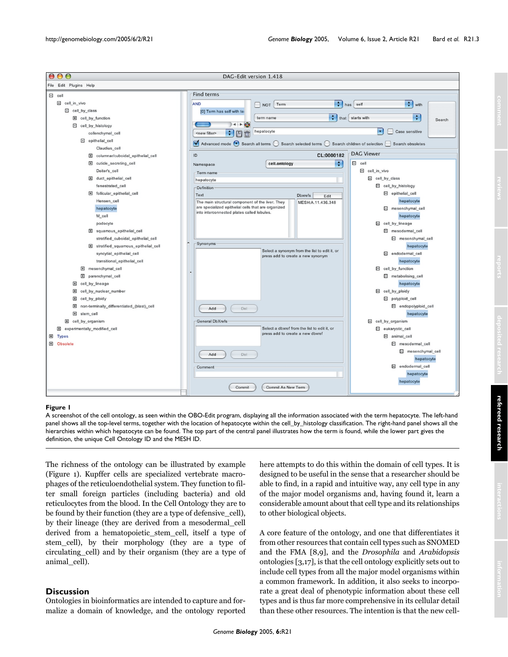

## A screenshot of the cell ontology, as seen **Figure 1** within the OBO-Edit program, displaying all the information associated with the term hepatocyte

A screenshot of the cell ontology, as seen within the OBO-Edit program, displaying all the information associated with the term hepatocyte. The left-hand panel shows all the top-level terms, together with the location of hepatocyte within the cell\_by\_histology classification. The right-hand panel shows all the hierarchies within which hepatocyte can be found. The top part of the central panel illustrates how the term is found, while the lower part gives the definition, the unique Cell Ontology ID and the MESH ID.

The richness of the ontology can be illustrated by example (Figure 1). Kupffer cells are specialized vertebrate macrophages of the reticuloendothelial system. They function to filter small foreign particles (including bacteria) and old reticulocytes from the blood. In the Cell Ontology they are to be found by their function (they are a type of defensive\_cell), by their lineage (they are derived from a mesodermal\_cell derived from a hematopoietic\_stem\_cell, itself a type of stem\_cell), by their morphology (they are a type of circulating\_cell) and by their organism (they are a type of animal\_cell).

### **Discussion**

Ontologies in bioinformatics are intended to capture and formalize a domain of knowledge, and the ontology reported here attempts to do this within the domain of cell types. It is designed to be useful in the sense that a researcher should be able to find, in a rapid and intuitive way, any cell type in any of the major model organisms and, having found it, learn a considerable amount about that cell type and its relationships to other biological objects.

A core feature of the ontology, and one that differentiates it from other resources that contain cell types such as SNOMED and the FMA [8,9], and the *Drosophila* and *Arabidopsis* ontologies [3,17], is that the cell ontology explicitly sets out to include cell types from all the major model organisms within a common framework. In addition, it also seeks to incorporate a great deal of phenotypic information about these cell types and is thus far more comprehensive in its cellular detail than these other resources. The intention is that the new cell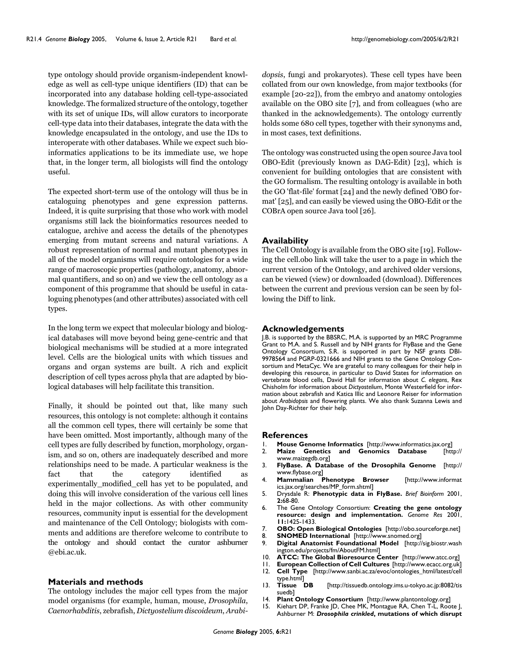type ontology should provide organism-independent knowledge as well as cell-type unique identifiers (ID) that can be incorporated into any database holding cell-type-associated knowledge. The formalized structure of the ontology, together with its set of unique IDs, will allow curators to incorporate cell-type data into their databases, integrate the data with the knowledge encapsulated in the ontology, and use the IDs to interoperate with other databases. While we expect such bioinformatics applications to be its immediate use, we hope that, in the longer term, all biologists will find the ontology useful.

The expected short-term use of the ontology will thus be in cataloguing phenotypes and gene expression patterns. Indeed, it is quite surprising that those who work with model organisms still lack the bioinformatics resources needed to catalogue, archive and access the details of the phenotypes emerging from mutant screens and natural variations. A robust representation of normal and mutant phenotypes in all of the model organisms will require ontologies for a wide range of macroscopic properties (pathology, anatomy, abnormal quantifiers, and so on) and we view the cell ontology as a component of this programme that should be useful in cataloguing phenotypes (and other attributes) associated with cell types.

In the long term we expect that molecular biology and biological databases will move beyond being gene-centric and that biological mechanisms will be studied at a more integrated level. Cells are the biological units with which tissues and organs and organ systems are built. A rich and explicit description of cell types across phyla that are adapted by biological databases will help facilitate this transition.

Finally, it should be pointed out that, like many such resources, this ontology is not complete: although it contains all the common cell types, there will certainly be some that have been omitted. Most importantly, although many of the cell types are fully described by function, morphology, organism, and so on, others are inadequately described and more relationships need to be made. A particular weakness is the fact that the category identified as experimentally\_modified\_cell has yet to be populated, and doing this will involve consideration of the various cell lines held in the major collections. As with other community resources, community input is essential for the development and maintenance of the Cell Ontology; biologists with comments and additions are therefore welcome to contribute to the ontology and should contact the curator ashburner @ebi.ac.uk.

#### **Materials and methods**

The ontology includes the major cell types from the major model organisms (for example, human, mouse, *Drosophila*, *Caenorhabditis*, zebrafish, *Dictyostelium discoideum*, *Arabi-* *dopsis*, fungi and prokaryotes). These cell types have been collated from our own knowledge, from major textbooks (for example [20-22]), from the embryo and anatomy ontologies available on the OBO site [7], and from colleagues (who are thanked in the acknowledgements). The ontology currently holds some 680 cell types, together with their synonyms and, in most cases, text definitions.

The ontology was constructed using the open source Java tool OBO-Edit (previously known as DAG-Edit) [23], which is convenient for building ontologies that are consistent with the GO formalism. The resulting ontology is available in both the GO 'flat-file' format [24] and the newly defined 'OBO format' [25], and can easily be viewed using the OBO-Edit or the COBrA open source Java tool [26].

#### **Availability**

The Cell Ontology is available from the OBO site [19]. Following the cell.obo link will take the user to a page in which the current version of the Ontology, and archived older versions, can be viewed (view) or downloaded (download). Differences between the current and previous version can be seen by following the Diff to link.

#### **Acknowledgements**

J.B. is supported by the BBSRC, M.A. is supported by an MRC Programme Grant to M.A. and S. Russell and by NIH grants for FlyBase and the Gene Ontology Consortium, S.R. is supported in part by NSF grants DBI-9978564 and PGRP-0321666 and NIH grants to the Gene Ontology Consortium and MetaCyc. We are grateful to many colleagues for their help in developing this resource, in particular to David States for information on vertebrate blood cells, David Hall for information about *C. elegans*, Rex Chisholm for information about *Dictyostelium*, Monte Westerfield for information about zebrafish and Katica Illic and Leonore Reiser for information about *Arabidopsis* and flowering plants. We also thank Suzanna Lewis and John Day-Richter for their help.

#### **References**

- 1. **Mouse Genome Informatics** [\[http://www.informatics.jax.org\]](http://www.informatics.jax.org)
- and Genomics Database [www.maizegdb.org\]](http://www.maizegdb.org)
- 3. **FlyBase. A Database of the Drosophila Genome** [\[http://](http://www.flybase.org) [www.flybase.org\]](http://www.flybase.org)
- 4. **Mammalian Phenotype Browser** [\[http://www.informat](http://www.informatics.jax.org/searches/MP_form.shtml) [ics.jax.org/searches/MP\\_form.shtml\]](http://www.informatics.jax.org/searches/MP_form.shtml)
- 5. Drysdale R: **[Phenotypic data in FlyBase.](http://www.ncbi.nlm.nih.gov/entrez/query.fcgi?cmd=Retrieve&db=PubMed&dopt=Abstract&list_uids=11465064)** *Brief Bioinform* 2001, **2:**68-80.
- 6. The Gene Ontology Consortium: **[Creating the gene ontology](http://www.ncbi.nlm.nih.gov/entrez/query.fcgi?cmd=Retrieve&db=PubMed&dopt=Abstract&list_uids=11483584) [resource: design and implementation.](http://www.ncbi.nlm.nih.gov/entrez/query.fcgi?cmd=Retrieve&db=PubMed&dopt=Abstract&list_uids=11483584)** *Genome Res* 2001, **11:**1425-1433.
- 7. **OBO: Open Biological Ontologies** [\[http://obo.sourceforge.net\]](http://obo.sourceforge.net)
- 8. **SNOMED International** [\[http://www.snomed.org\]](http://www.snomed.org)<br>9. **Digital Anatomist Foundational Model** [http://
- 9. **Digital Anatomist Foundational Model** [\[http://sig.biostr.wash](http://sig.biostr.washington.edu/projects/fm/AboutFM.html) [ington.edu/projects/fm/AboutFM.html\]](http://sig.biostr.washington.edu/projects/fm/AboutFM.html)
- 10. **ATCC: The Global Bioresource Center** [\[http://www.atcc.org\]](http://www.atcc.org)
- 
- 11. **European Collection of Cell Cultures** [\[http://www.ecacc.org.uk\]](http://www.ecacc.org.uk) 12. **Cell Type** [\[http://www.sanbi.ac.za/evoc/ontologies\\_html/latest/cell](http://www.sanbi.ac.za/evoc/ontologies_html/latest/celltype.html)
- [type.html\]](http://www.sanbi.ac.za/evoc/ontologies_html/latest/celltype.html)<br>Tissue DB 13. **Tissue DB** [\[http://tissuedb.ontology.ims.u-tokyo.ac.jp:8082/tis](http://tissuedb.ontology.ims.u-tokyo.ac.jp:8082/tissuedb) [suedb\]](http://tissuedb.ontology.ims.u-tokyo.ac.jp:8082/tissuedb)
- 14. **Plant Ontology Consortium** [\[http://www.plantontology.org\]](http://www.plantontology.org)
- Kiehart DP, Franke JD, Chee MK, Montague RA, Chen T-L, Roote J, Ashburner M: *Drosophila crinkled***[, mutations of which disrupt](http://www.ncbi.nlm.nih.gov/entrez/query.fcgi?cmd=Retrieve&db=PubMed&dopt=Abstract&list_uids=15579689)**